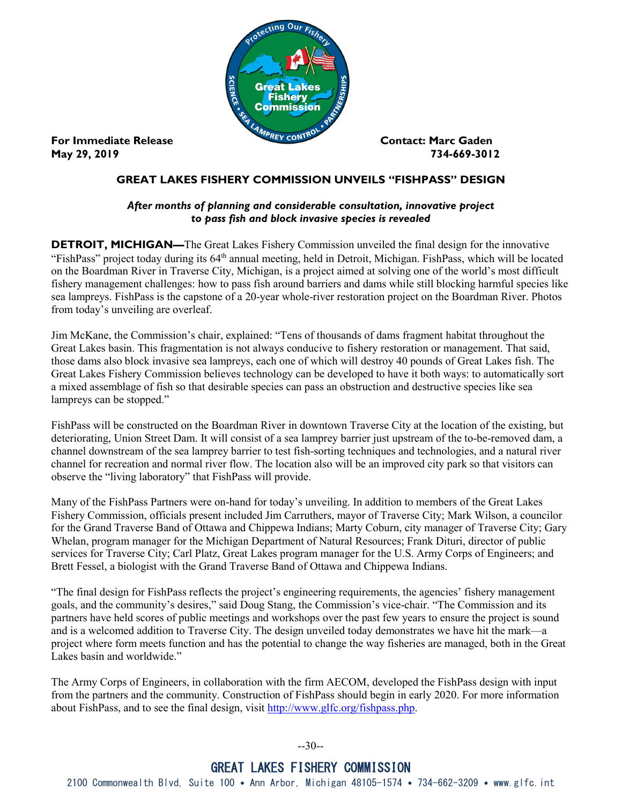

**May 29, 2019 734-669-3012** 

## **GREAT LAKES FISHERY COMMISSION UNVEILS "FISHPASS" DESIGN**

## *After months of planning and considerable consultation, innovative project to pass fish and block invasive species is revealed*

**DETROIT, MICHIGAN—**The Great Lakes Fishery Commission unveiled the final design for the innovative "FishPass" project today during its 64<sup>th</sup> annual meeting, held in Detroit, Michigan. FishPass, which will be located on the Boardman River in Traverse City, Michigan, is a project aimed at solving one of the world's most difficult fishery management challenges: how to pass fish around barriers and dams while still blocking harmful species like sea lampreys. FishPass is the capstone of a 20-year whole-river restoration project on the Boardman River. Photos from today's unveiling are overleaf.

Jim McKane, the Commission's chair, explained: "Tens of thousands of dams fragment habitat throughout the Great Lakes basin. This fragmentation is not always conducive to fishery restoration or management. That said, those dams also block invasive sea lampreys, each one of which will destroy 40 pounds of Great Lakes fish. The Great Lakes Fishery Commission believes technology can be developed to have it both ways: to automatically sort a mixed assemblage of fish so that desirable species can pass an obstruction and destructive species like sea lampreys can be stopped."

FishPass will be constructed on the Boardman River in downtown Traverse City at the location of the existing, but deteriorating, Union Street Dam. It will consist of a sea lamprey barrier just upstream of the to-be-removed dam, a channel downstream of the sea lamprey barrier to test fish-sorting techniques and technologies, and a natural river channel for recreation and normal river flow. The location also will be an improved city park so that visitors can observe the "living laboratory" that FishPass will provide.

Many of the FishPass Partners were on-hand for today's unveiling. In addition to members of the Great Lakes Fishery Commission, officials present included Jim Carruthers, mayor of Traverse City; Mark Wilson, a councilor for the Grand Traverse Band of Ottawa and Chippewa Indians; Marty Coburn, city manager of Traverse City; Gary Whelan, program manager for the Michigan Department of Natural Resources; Frank Dituri, director of public services for Traverse City; Carl Platz, Great Lakes program manager for the U.S. Army Corps of Engineers; and Brett Fessel, a biologist with the Grand Traverse Band of Ottawa and Chippewa Indians.

"The final design for FishPass reflects the project's engineering requirements, the agencies' fishery management goals, and the community's desires," said Doug Stang, the Commission's vice-chair. "The Commission and its partners have held scores of public meetings and workshops over the past few years to ensure the project is sound and is a welcomed addition to Traverse City. The design unveiled today demonstrates we have hit the mark—a project where form meets function and has the potential to change the way fisheries are managed, both in the Great Lakes basin and worldwide."

The Army Corps of Engineers, in collaboration with the firm AECOM, developed the FishPass design with input from the partners and the community. Construction of FishPass should begin in early 2020. For more information about FishPass, and to see the final design, visit [http://www.glfc.org/fishpass.php.](http://www.glfc.org/fishpass.php)

--30--

## GREAT LAKES FISHERY COMMISSION

2100 Commonwealth Blvd, Suite 100 • Ann Arbor, Michigan 48105-1574 • 734-662-3209 • www.glfc.int